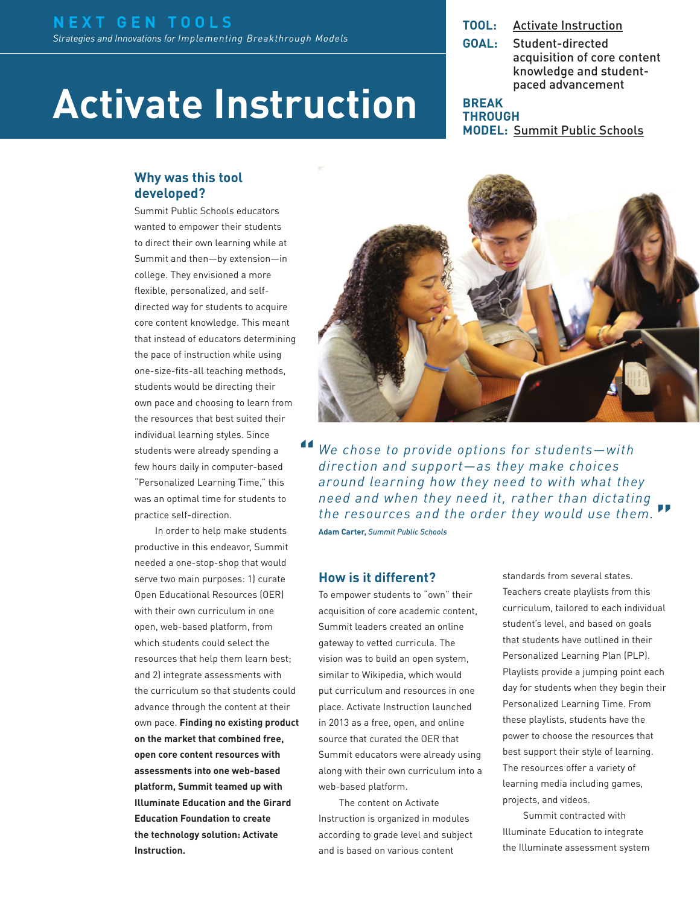# **Activate Instruction**

**TOOL:** [Activate Instruction](http://www.activateinstruction.org)

**GOAL:** Student-directed acquisition of core content knowledge and studentpaced advancement

**BREAK THROUGH MODEL:** [Summit Public Schools](http://www.nextgenlearning.org/grantee/summit-public-schools)

#### **Why was this tool developed?**

Summit Public Schools educators wanted to empower their students to direct their own learning while at Summit and then—by extension—in college. They envisioned a more flexible, personalized, and selfdirected way for students to acquire core content knowledge. This meant that instead of educators determining the pace of instruction while using one-size-fits-all teaching methods, students would be directing their own pace and choosing to learn from the resources that best suited their individual learning styles. Since students were already spending a few hours daily in computer-based "Personalized Learning Time," this was an optimal time for students to practice self-direction.

In order to help make students productive in this endeavor, Summit needed a one-stop-shop that would serve two main purposes: 1) curate Open Educational Resources (OER) with their own curriculum in one open, web-based platform, from which students could select the resources that help them learn best; and 2) integrate assessments with the curriculum so that students could advance through the content at their own pace. **Finding no existing product on the market that combined free, open core content resources with assessments into one web-based platform, Summit teamed up with Illuminate Education and the Girard Education Foundation to create the technology solution: Activate Instruction.**



*We chose to provide options for students—with direction and support—as they make choices around learning how they need to with what they need and when they need it, rather than dictating the resources and the order they would use them.* **Adam Carter,** *Summit Public Schools* **" "**

#### **How is it different?**

To empower students to "own" their acquisition of core academic content, Summit leaders created an online gateway to vetted curricula. The vision was to build an open system, similar to Wikipedia, which would put curriculum and resources in one place. Activate Instruction launched in 2013 as a free, open, and online source that curated the OER that Summit educators were already using along with their own curriculum into a web-based platform.

The content on Activate Instruction is organized in modules according to grade level and subject and is based on various content

standards from several states. Teachers create playlists from this curriculum, tailored to each individual student's level, and based on goals that students have outlined in their Personalized Learning Plan (PLP). Playlists provide a jumping point each day for students when they begin their Personalized Learning Time. From these playlists, students have the power to choose the resources that best support their style of learning. The resources offer a variety of learning media including games, projects, and videos.

Summit contracted with Illuminate Education to integrate the Illuminate assessment system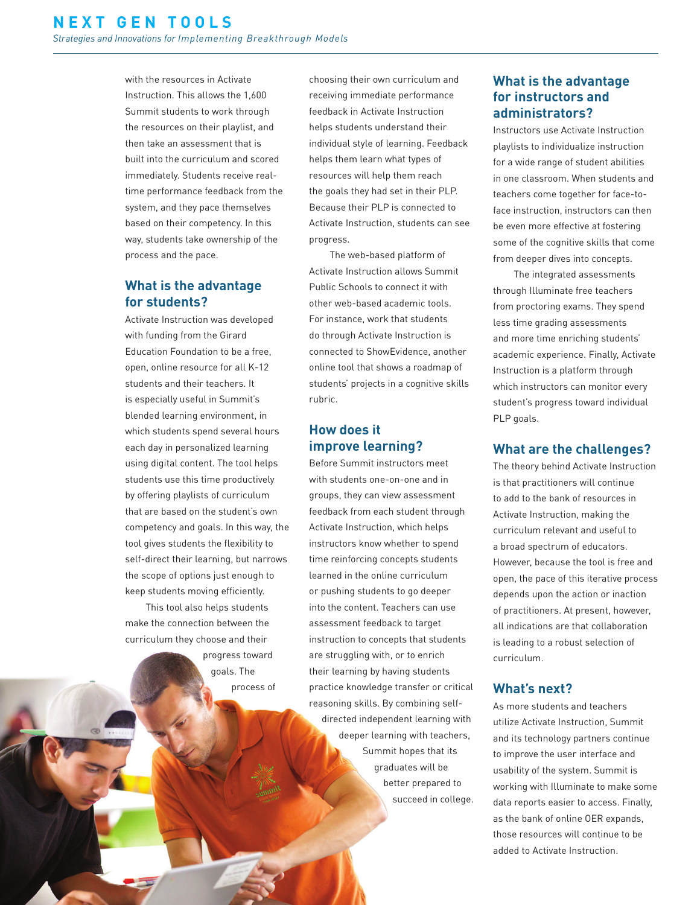with the resources in Activate Instruction. This allows the 1,600 Summit students to work through the resources on their playlist, and then take an assessment that is built into the curriculum and scored immediately. Students receive realtime performance feedback from the system, and they pace themselves based on their competency. In this way, students take ownership of the process and the pace.

# **What is the advantage for students?**

Activate Instruction was developed with funding from the Girard Education Foundation to be a free, open, online resource for all K-12 students and their teachers. It is especially useful in Summit's blended learning environment, in which students spend several hours each day in personalized learning using digital content. The tool helps students use this time productively by offering playlists of curriculum that are based on the student's own competency and goals. In this way, the tool gives students the flexibility to self-direct their learning, but narrows the scope of options just enough to keep students moving efficiently.

This tool also helps students make the connection between the curriculum they choose and their

progress toward goals. The process of

choosing their own curriculum and receiving immediate performance feedback in Activate Instruction helps students understand their individual style of learning. Feedback helps them learn what types of resources will help them reach the goals they had set in their PLP. Because their PLP is connected to Activate Instruction, students can see progress.

The web-based platform of Activate Instruction allows Summit Public Schools to connect it with other web-based academic tools. For instance, work that students do through Activate Instruction is connected to ShowEvidence, another online tool that shows a roadmap of students' projects in a cognitive skills rubric.

# **How does it improve learning?**

Before Summit instructors meet with students one-on-one and in groups, they can view assessment feedback from each student through Activate Instruction, which helps instructors know whether to spend time reinforcing concepts students learned in the online curriculum or pushing students to go deeper into the content. Teachers can use assessment feedback to target instruction to concepts that students are struggling with, or to enrich their learning by having students practice knowledge transfer or critical reasoning skills. By combining selfdirected independent learning with deeper learning with teachers, Summit hopes that its graduates will be better prepared to succeed in college.

# **What is the advantage for instructors and administrators?**

Instructors use Activate Instruction playlists to individualize instruction for a wide range of student abilities in one classroom. When students and teachers come together for face-toface instruction, instructors can then be even more effective at fostering some of the cognitive skills that come from deeper dives into concepts.

The integrated assessments through Illuminate free teachers from proctoring exams. They spend less time grading assessments and more time enriching students' academic experience. Finally, Activate Instruction is a platform through which instructors can monitor every student's progress toward individual PLP goals.

# **What are the challenges?**

The theory behind Activate Instruction is that practitioners will continue to add to the bank of resources in Activate Instruction, making the curriculum relevant and useful to a broad spectrum of educators. However, because the tool is free and open, the pace of this iterative process depends upon the action or inaction of practitioners. At present, however, all indications are that collaboration is leading to a robust selection of curriculum.

#### **What's next?**

As more students and teachers utilize Activate Instruction, Summit and its technology partners continue to improve the user interface and usability of the system. Summit is working with Illuminate to make some data reports easier to access. Finally, as the bank of online OER expands, those resources will continue to be added to Activate Instruction.